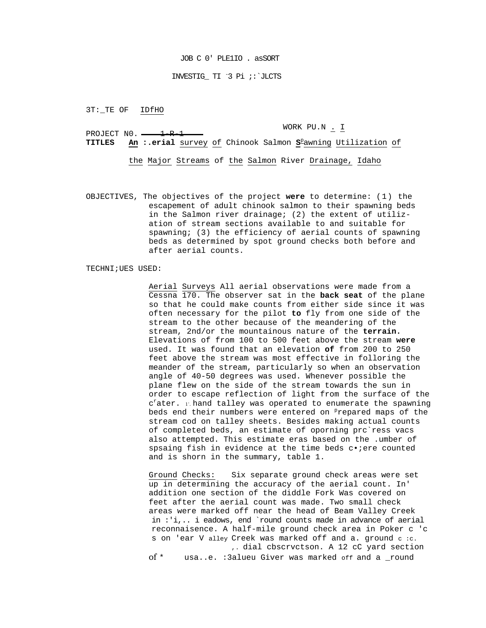# INVESTIG\_ TI - 3 Pi ;:`JLCTS

3T: TE OF IDfHO

PROJECT  $N0. \longrightarrow 1-R-1$ 

WORK PU.N . I

**TITLES An :.erial** survey of Chinook Salmon **S**<sup>p</sup> awning Utilization of

the Major Streams of the Salmon River Drainage, Idaho

OBJECTIVES, The objectives of the project **were** to determine: (1) the escapement of adult chinook salmon to their spawning beds in the Salmon river drainage; (2) the extent of utilization of stream sections available to and suitable for spawning; (3) the efficiency of aerial counts of spawning beds as determined by spot ground checks both before and after aerial counts.

# TECHNI;UES USED:

Aerial Surveys All aerial observations were made from a Cessna 170. The observer sat in the **back seat** of the plane so that he could make counts from either side since it was often necessary for the pilot **to** fly from one side of the stream to the other because of the meandering of the stream, 2nd/or the mountainous nature of the **terrain.**  Elevations of from 100 to 500 feet above the stream **were**  used. It was found that an elevation **of** from 200 to 250 feet above the stream was most effective in folloring the meander of the stream, particularly so when an observation angle of 40-50 degrees was used. Whenever possible the plane flew on the side of the stream towards the sun in order to escape reflection of light from the surface of the c<sup>r</sup>ater. i hand talley was operated to enumerate the spawning beds end their numbers were entered on <sup>p</sup>repared maps of the stream cod on talley sheets. Besides making actual counts of completed beds, an estimate of oporning prc`ress vacs also attempted. This estimate eras based on the .umber of spsaing fish in evidence at the time beds coiere counted and is shorn in the summary, table 1.

Ground Checks: Six separate ground check areas were set up in determining the accuracy of the aerial count. In' addition one section of the diddle Fork Was covered on feet after the aerial count was made. Two small check areas were marked off near the head of Beam Valley Creek in :'i,.. i eadows, end `round counts made in advance of aerial reconnaisence. A half-mile ground check area in Poker c 'c s on 'ear V alley Creek was marked off and a. ground c :c. ,. dial cbscrvctson. A 12 cC yard section of \* usa..e. :3alueu Giver was marked off and a \_round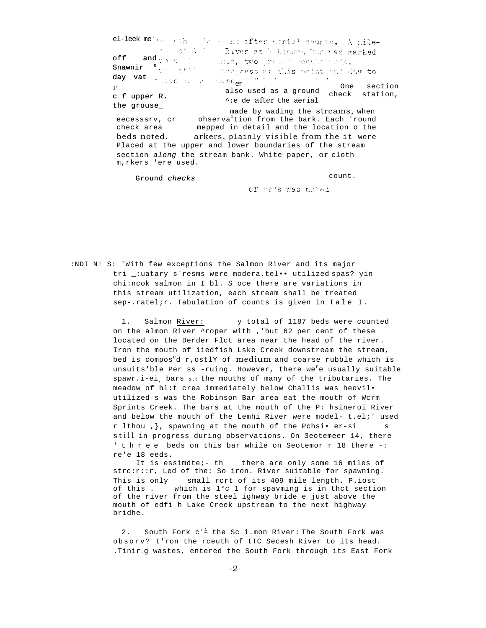el-leek metsu Both on the and after serial counts. A mileintof Call of River at Notinson Run was marked off and we can be seen to be an interesting off and we can be also to see this point and day to day vat - Non is die humber of the One section  $1\%$ also used as a ground check station, c f upper R.  $\gamma$ ie de after the aerial the grouse\_ made by wading the streams, when eecesssrv, cr ohserva<sup>c</sup>tion from the bark. Each 'round mepped in detail and the location o the check area beds noted. arkers, plainly visible from the it were Placed at the upper and lower boundaries of the stream

section along the stream bank. White paper, Or cloth

Ground checks

m, rkers 'ere used.

count.

of hads was noted

:NDI N! S: 'With few exceptions the Salmon River and its major tri \_: uatary s'resms were modera.tel.. utilized spas? yin chi:ncok salmon in I bl. S oce there are variations in this stream utilization, each stream shall be treated sep-.ratelir. Tabulation of counts is given in Tale I.

> $1.$ Salmon River: y total of 1187 beds were counted on the almon River 'roper with, 'hut 62 per cent of these located on the Derder Flct area near the head of the river. Iron the mouth of iiedfish Lske Creek downstream the stream, bed is compos<sup>e</sup>d r, ostlY of medium and coarse rubble which is unsuits'ble Per ss -ruing. However, there we'e usually suitable spawr.i-ei bars s.t the mouths of many of the tributaries. The meadow of hl:t crea immediately below Challis was heovil. utilized s was the Robinson Bar area eat the mouth of Wcrm Sprints Creek. The bars at the mouth of the P: hsineroi River and below the mouth of the Lemhi River were model- t.el;' used r lthou , }, spawning at the mouth of the Pchsi. er-si still in progress during observations. On 3eotemeer 14, there 'three beds on this bar while on Seotemor r 18 there -: re'e 18 eeds.

It is essimdte;- th there are only some 16 miles of strc:r::r, Led of the: So iron. River suitable for spawning. This is only small rcrt of its 409 mile length. P.iost of this. which is 1°c 1 for spavming is in thct section of the river from the steel ighway bride e just above the mouth of edfi h Lake Creek upstream to the next highway bridhe.

2. South Fork  $c^{i}$  the Sc i.mon River: The South Fork was obsorv? t'ron the rceuth of tTC Secesh River to its head. .Tinir.g wastes, entered the South Fork through its East Fork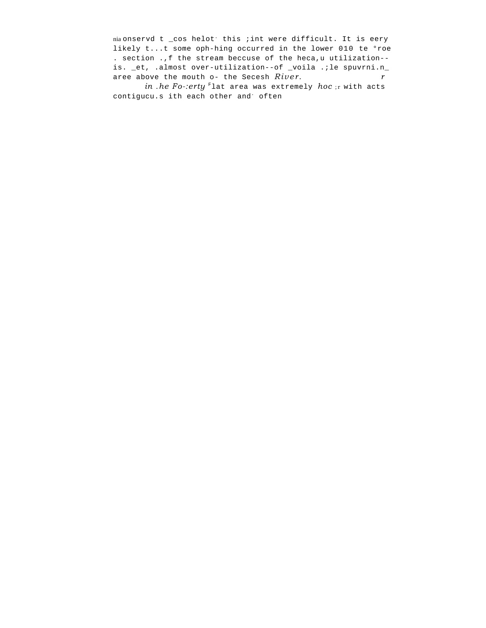nia onservd t \_cos helot this ; int were difficult. It is eery likely t...t some oph-hing occurred in the lower 010 te °roe . section ., f the stream beccuse of the heca, u utilization-is. \_et, .almost over-utilization--of \_voila .; le spuvrni.n\_ aree above the mouth o- the Secesh River.  $\mathbf{r}$ 

in .he Fo-:erty Flat area was extremely hoc; r with acts contigucu.s ith each other and often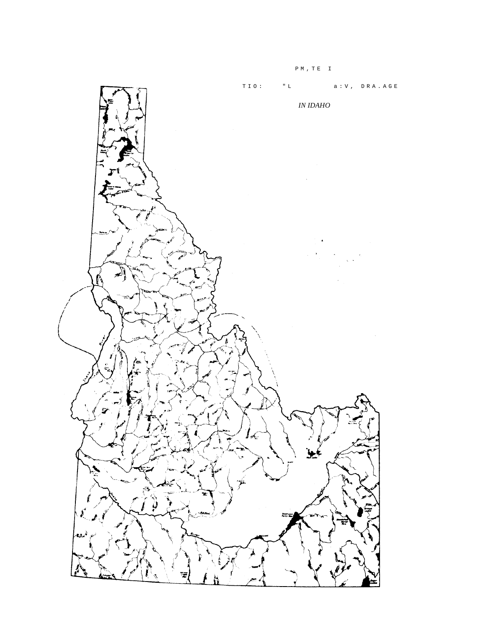

 $P M , T E I$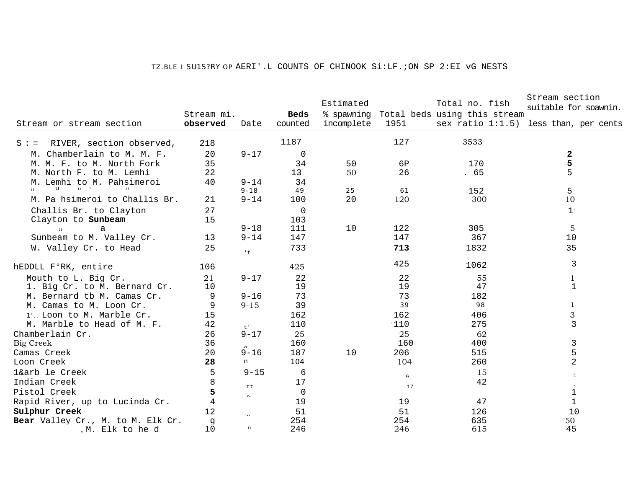#### *TZ.BLE I* SU1S?RY *OP* AERI'.L COUNTS OF CHINOOK Si:LF.;ON SP 2:EI vG NESTS

|                                     |                |              |                | Estimated  |          | Total no. fish               | Stream section<br>suitable for spawnin.  |
|-------------------------------------|----------------|--------------|----------------|------------|----------|------------------------------|------------------------------------------|
|                                     | Stream mi.     |              | Beds           | % spawning |          | Total beds using this stream |                                          |
| Stream or stream section            | observed       | Date         | counted        | incomplete | 1951     |                              | sex ratio $1:1.5$ ) less than, per cents |
| RIVER, section observed,<br>$S : =$ | 218            |              | 1187           |            | 127      | 3533                         |                                          |
| M. Chamberlain to M. M. F.          | 20             | $9 - 17$     | $\overline{0}$ |            |          |                              | $\mathbf{2}$                             |
| M. M. F. to M. North Fork           | 35             |              | 34             | 50         | 6P       | 170                          | 5                                        |
| M. North F. to M. Lemhi             | 22             |              | 13             | 50         | 26       | .65                          | 5                                        |
| M. Lemhi to M. Pahsimeroi           | 40             | $9 - 14$     | 34             |            |          |                              |                                          |
| $tt = 1$<br>u<br>11<br>t1           |                | $9 - 18$     | 49             | 25         | 61       | 152                          | 5                                        |
| M. Pa hsimeroi to Challis Br.       | 21             | $9 - 14$     | 100            | 20         | 120      | 300                          | 10                                       |
| Challis Br. to Clayton              | 27             |              | $\mathbf 0$    |            |          |                              | $1\, \cdot$                              |
| Clayton to Sunbeam                  | 15             |              | 103            |            |          |                              |                                          |
| a<br>tt                             |                | $9 - 18$     | 111            | 10         | 122      | 305                          | $\overline{5}$                           |
| Sunbeam to M. Valley Cr.            | 13             | $9 - 14$     | 147            |            | 147      | 367                          | 10                                       |
| W. Valley Cr. to Head               | 25             | $+$          | 733            |            | 713      | 1832                         | 35                                       |
| hEDDLL F°RK, entire                 | 106            |              | 425            |            | 425      | 1062                         | 3                                        |
| Mouth to L. Big Cr.                 | 21             | $9 - 17$     | 22             |            | 22       | 55                           | $\mathbf{1}$                             |
| 1. Big Cr. to M. Bernard Cr.        | 10             |              | 19             |            | 19       | 47                           | $\mathbf{1}$                             |
| M. Bernard tb M. Camas Cr.          | 9              | $9 - 16$     | 73             |            | 73       | 182                          |                                          |
| M. Camas to M. Loon Cr.             | 9              | $9 - 15$     | 39             |            | 39       | 98                           | $\mathcal{I}$                            |
| 1'. Loon to M. Marble Cr.           | 15             |              | 162            |            | 162      | 406                          | 3                                        |
| M. Marble to Head of M. F.          | 42             | $t$ .        | 110            |            | 110      | 275                          | 3                                        |
| Chamberlain Cr.                     | 26             | $9 - 17$     | 25             |            | 25       | 62                           |                                          |
| Big Creek                           | 36             |              | 160            |            | 160      | 400                          | 3                                        |
| Camas Creek                         | 20             | $9 - 16$     | 187            | 10         | 206      | 515                          | 5                                        |
| Loon Creek                          | 28             | $\mathsf{n}$ | 104            |            | 104      | 260                          | 2                                        |
| 1&arb le Creek                      | 5              | $9 - 15$     | 6              |            | $\kappa$ | 15                           | $\mathbf{1}$                             |
| Indian Creek                        | 8              | $+ +$        | 17             |            | 17       | 42                           | $\overline{1}$                           |
| Pistol Creek                        | 5              | $\mathbf{r}$ | 0              |            |          |                              | $\mathbf 1$                              |
| Rapid River, up to Lucinda Cr.      | $\overline{4}$ |              | 19             |            | 19       | 47                           | $1\,$                                    |
| Sulphur Creek                       | 12             |              | 51             |            | 51       | 126                          | 10                                       |
| Bear Valley Cr., M. to M. Elk Cr.   | g              |              | 254            |            | 254      | 635                          | 50                                       |
| , M. Elk to he d                    | 10             | tt           | 246            |            | 246      | 615                          | 45                                       |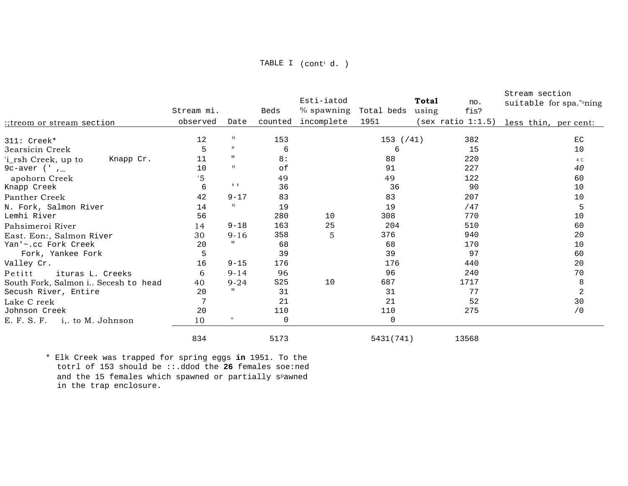|                                     |            |                   |                 | Esti-iatod                  |             |                     | Stream section                         |
|-------------------------------------|------------|-------------------|-----------------|-----------------------------|-------------|---------------------|----------------------------------------|
|                                     |            |                   |                 |                             |             | <b>Total</b><br>no. | suitable for spa."rning                |
|                                     | Stream mi. |                   | Beds            | % spawning Total beds using |             | fis?                |                                        |
| :;treom or stream section           | observed   | Date              | counted         | incomplete                  | 1951        |                     | (sex ratio 1:1.5) less thin, per cent: |
| $311:$ Creek*                       | 12         | tt                | 153             |                             | $153$ (/41) | 382                 | EC                                     |
| 3earsicin Creek                     | 5          | $\circ$           | 6               |                             | 6           | 15                  | 10                                     |
| 'i_rsh Creek, up to<br>Knapp Cr.    | 11         | $\mathbf{H}$      | 8:              |                             | 88          | 220                 | 4 C                                    |
| 9c-aver $('$ $')$                   | 10         | tt                | of              |                             | 91          | 227                 | 40                                     |
| apohorn Creek                       | '5         |                   | 49              |                             | 49          | 122                 | 60                                     |
| Knapp Creek                         | 6          | $1 - 1$           | 36              |                             | 36          | 90                  | 10                                     |
| Panther Creek                       | 42         | $9 - 17$          | 83              |                             | 83          | 207                 | 10                                     |
| N. Fork, Salmon River               | 14         | tt                | 19              |                             | 19          | /47                 | 5                                      |
| Lemhi River                         | 56         |                   | 280             | 10                          | 308         | 770                 | 10                                     |
| Pahsimeroi River                    | 14         | $9 - 18$          | 163             | 25                          | 204         | 510                 | 60                                     |
| East. Eon:, Salmon River            | 30         | $9 - 16$          | 358             | 5                           | 376         | 940                 | 20                                     |
| Yan'~.cc Fork Creek                 | 20         |                   | 68              |                             | 68          | 170                 | 10                                     |
| Fork, Yankee Fork                   | 5          |                   | 39              |                             | 39          | 97                  | 60                                     |
| Valley Cr.                          | 16         | $9 - 15$          | 176             |                             | 176         | 440                 | 20                                     |
| Petitt<br>ituras L. Creeks          | 6          | $9 - 14$          | 96              |                             | 96          | 240                 | 70                                     |
| South Fork, Salmon i Secesh to head | 40         | $9 - 24$          | S <sub>25</sub> | 10                          | 687         | 1717                | 8                                      |
| Secush River, Entire                | 20         |                   | 31              |                             | 31          | 77                  | $\overline{a}$                         |
| Lake C reek                         |            |                   | 21              |                             | 21          | 52                  | 30                                     |
| Johnson Creek                       | 20         |                   | 110             |                             | 110         | 275                 | /0                                     |
| E. F. S. F. i,. to M. Johnson       | 10         | $^{\prime\prime}$ | 0               |                             | 0           |                     |                                        |
|                                     | 834        |                   | 5173            |                             | 5431(741)   | 13568               |                                        |

\* Elk Creek was trapped for spring eggs in 1951. To the totrl of 153 should be ::.ddod the 26 females soe:ned and the 15 females which spawned or partially s<sup>p</sup>awned in the trap enclosure.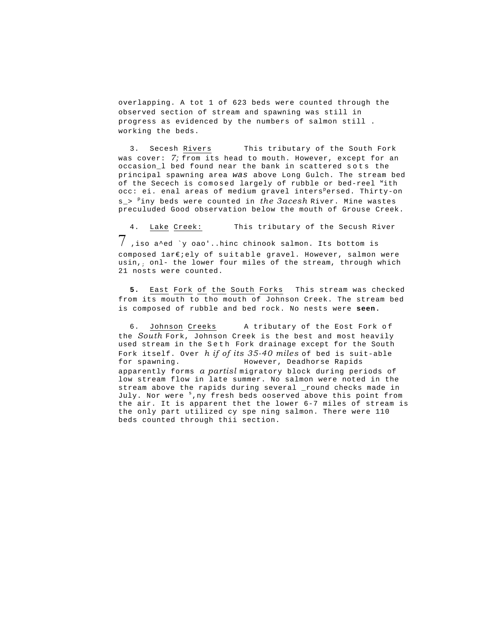overlapping. A tot 1 of 623 beds were counted through the observed section of stream and spawning was still in progress as evidenced by the numbers of salmon still . working the beds.

3. Secesh Rivers This tributary of the South Fork was cover: *7;* from its head to mouth. However, except for an occasion\_l bed found near the bank in scattered sots the principal spawning area *was* above Long Gulch. The stream bed of the Secech is comosed largely of rubble or bed-reel "ith occ: ei. enal areas of medium gravel inters<sup>p</sup>ersed. Thirty-on s<sub>-></sub> <sup>p</sup>iny beds were counted in *the 3acesh* River. Mine wastes preculuded Good observation below the mouth of Grouse Creek.

4. Lake Creek: This tributary of the Secush River 7 ,iso a^ed `y oao'..hinc chinook salmon. Its bottom is composed 1ar€;ely of suitable gravel. However, salmon were usin,; onl- the lower four miles of the stream, through which 21 nosts were counted.

**5.** East Fork of the South Forks This stream was checked from its mouth to tho mouth of Johnson Creek. The stream bed is composed of rubble and bed rock. No nests were **seen.** 

6. Johnson Creeks A tributary of the Eost Fork of the *South* Fork, Johnson Creek is the best and most heavily used stream in the Seth Fork drainage except for the South Fork itself. Over *h if of its 35-40 miles* of bed is suit-able for spawning. However, Deadhorse Rapids apparently forms *a partisl* migratory block during periods of low stream flow in late summer. No salmon were noted in the stream above the rapids during several \_round checks made in July. Nor were <sup>s</sup>, ny fresh beds ooserved above this point from the air. It is apparent thet the lower 6-7 miles of stream is the only part utilized cy spe ning salmon. There were 110 beds counted through thii section.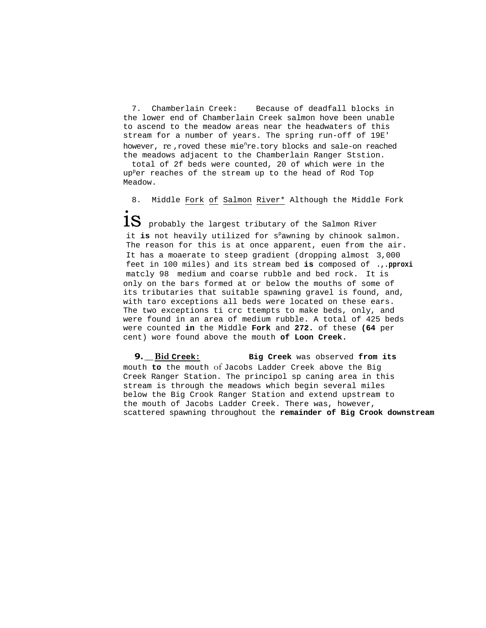7. Chamberlain Creek: Because of deadfall blocks in the lower end of Chamberlain Creek salmon hove been unable to ascend to the meadow areas near the headwaters of this stream for a number of years. The spring run-off of 19E' however,  $re$  ,roved these mie<sup>n</sup>re.tory blocks and sale-on reached the meadows adjacent to the Chamberlain Ranger Ststion.

total of 2f beds were counted, 20 of which were in the up<sup>p</sup>er reaches of the stream up to the head of Rod Top Meadow.

8. Middle Fork of Salmon River\* Although the Middle Fork

 ${\bf 1S}\;$  probably the largest tributary of the Salmon River it is not heavily utilized for s<sup>p</sup>awning by chinook salmon. The reason for this is at once apparent, euen from the air. It has a moaerate to steep gradient (dropping almost 3,000 feet in 100 miles) and its stream bed **is** composed of **.,.pproxi** matcly 98 medium and coarse rubble and bed rock. It is only on the bars formed at or below the mouths of some of its tributaries that suitable spawning gravel is found, and, with taro exceptions all beds were located on these ears. The two exceptions ti crc ttempts to make beds, only, and were found in an area of medium rubble. A total of 425 beds were counted **in** the Middle **Fork** and **272.** of these **(64** per cent) wore found above the mouth **of Loon Creek.** 

**9. \_\_Bid Creek: Big Creek** was observed **from its**  mouth **to** the mouth of Jacobs Ladder Creek above the Big Creek Ranger Station. The principol sp caning area in this stream is through the meadows which begin several miles below the Big Crook Ranger Station and extend upstream to the mouth of Jacobs Ladder Creek. There was, however, scattered spawning throughout the **remainder of Big Crook downstream**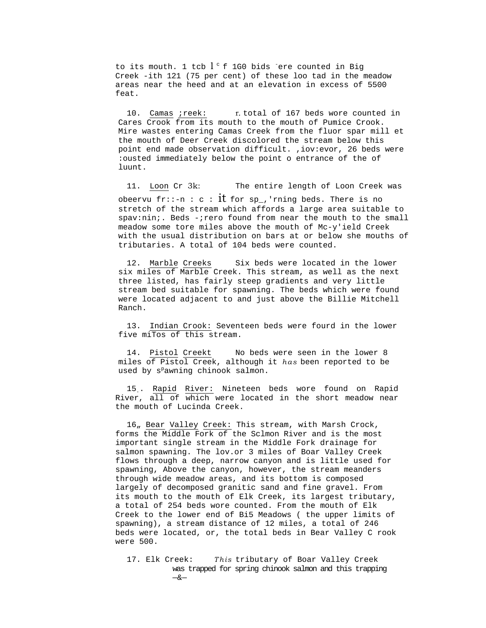to its mouth. 1 tcb  $l$   $\mathfrak c$  f 1G0 bids  $\mathfrak e$  ere counted in Big Creek -ith 121 (75 per cent) of these loo tad in the meadow areas near the heed and at an elevation in excess of 5500 feat.

10. Camas ; reek: r. total of 167 beds wore counted in Cares Crook from its mouth to the mouth of Pumice Crook. Mire wastes entering Camas Creek from the fluor spar mill et the mouth of Deer Creek discolored the stream below this point end made observation difficult. ,iov:evor, 26 beds were :ousted immediately below the point o entrance of the of luunt.

11. Loon Cr 3k: The entire length of Loon Creek was obeervu fr::-n : c :  $it$  for sp\_,'rning beds. There is no stretch of the stream which affords a large area suitable to spav:nin;. Beds -;rero found from near the mouth to the small meadow some tore miles above the mouth of Mc-y'ield Creek with the usual distribution on bars at or below she mouths of tributaries. A total of 104 beds were counted.

12. Marble Creeks Six beds were located in the lower six miles of Marble Creek. This stream, as well as the next three listed, has fairly steep gradients and very little stream bed suitable for spawning. The beds which were found were located adjacent to and just above the Billie Mitchell Ranch.

13. Indian Crook: Seventeen beds were fourd in the lower five miTos of this stream.

14. Pistol Creekt No beds were seen in the lower 8 miles of Pistol Creek, although it *has* been reported to be used by s<sup>p</sup>awning chinook salmon.

15. Rapid River: Nineteen beds wore found on Rapid River, all of which were located in the short meadow near the mouth of Lucinda Creek.

16, Bear Valley Creek: This stream, with Marsh Crock, forms the Middle Fork of the Sclmon River and is the most important single stream in the Middle Fork drainage for salmon spawning. The lov.or 3 miles of Boar Valley Creek flows through a deep, narrow canyon and is little used for spawning, Above the canyon, however, the stream meanders through wide meadow areas, and its bottom is composed largely of decomposed granitic sand and fine gravel. From its mouth to the mouth of Elk Creek, its largest tributary, a total of 254 beds wore counted. From the mouth of Elk Creek to the lower end of Bi5 Meadows ( the upper limits of spawning), a stream distance of 12 miles, a total of 246 beds were located, or, the total beds in Bear Valley C rook were 500.

17. Elk Creek: *This* tributary of Boar Valley Creek was trapped for spring chinook salmon and this trapping —&—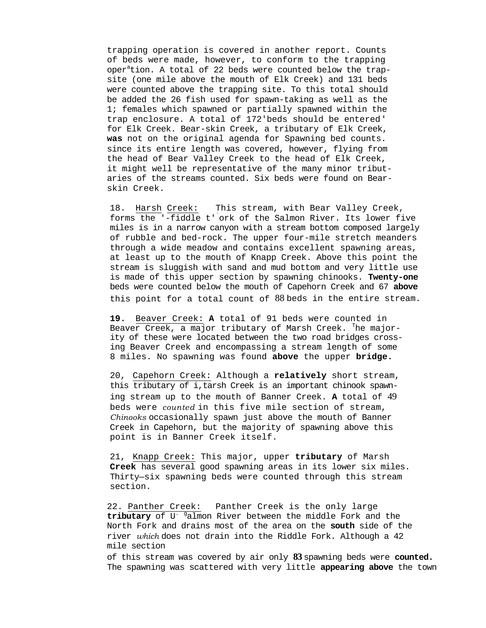trapping operation is covered in another report. Counts of beds were made, however, to conform to the trapping oper<sup>a</sup>tion. A total of 22 beds were counted below the trapsite (one mile above the mouth of Elk Creek) and 131 beds were counted above the trapping site. To this total should be added the 26 fish used for spawn-taking as well as the 1; females which spawned or partially spawned within the trap enclosure. A total of 172'beds should be entered ' for Elk Creek. Bear-skin Creek, a tributary of Elk Creek, **was** not on the original agenda for Spawning bed counts. since its entire length was covered, however, flying from the head of Bear Valley Creek to the head of Elk Creek, it might well be representative of the many minor tributaries of the streams counted. Six beds were found on Bearskin Creek.

18. Harsh Creek: This stream, with Bear Valley Creek, forms the '-fiddle t'` ork of the Salmon River. Its lower five miles is in a narrow canyon with a stream bottom composed largely of rubble and bed-rock. The upper four-mile stretch meanders through a wide meadow and contains excellent spawning areas, at least up to the mouth of Knapp Creek. Above this point the stream is sluggish with sand and mud bottom and very little use is made of this upper section by spawning chinooks. **Twenty-one**  beds were counted below the mouth of Capehorn Creek and 67 **above**  this point for a total count of 88 beds in the entire stream.

**19.** Beaver Creek: **A** total of 91 beds were counted in Beaver Creek, a major tributary of Marsh Creek. <sup>T</sup>he majority of these were located between the two road bridges crossing Beaver Creek and encompassing a stream length of some 8 miles. No spawning was found **above** the upper **bridge.** 

20, Capehorn Creek: Although a **relatively** short stream, this tributary of i,tarsh Creek is an important chinook spawning stream up to the mouth of Banner Creek. **A** total of 49 beds were *counted* in this five mile section of stream, *Chinooks* occasionally spawn just above the mouth of Banner Creek in Capehorn, but the majority of spawning above this point is in Banner Creek itself.

21, Knapp Creek: This major, upper **tributary** of Marsh **Creek** has several good spawning areas in its lower six miles. Thirty—six spawning beds were counted through this stream section.

22. Panther Creek: Panther Creek is the only large tributary of U<sup>. g</sup>almon River between the middle Fork and the North Fork and drains most of the area on the **south** side of the river *which* does not drain into the Riddle Fork. Although a 42 mile section

of this stream was covered by air only **83** spawning beds were **counted.**  The spawning was scattered with very little **appearing above** the town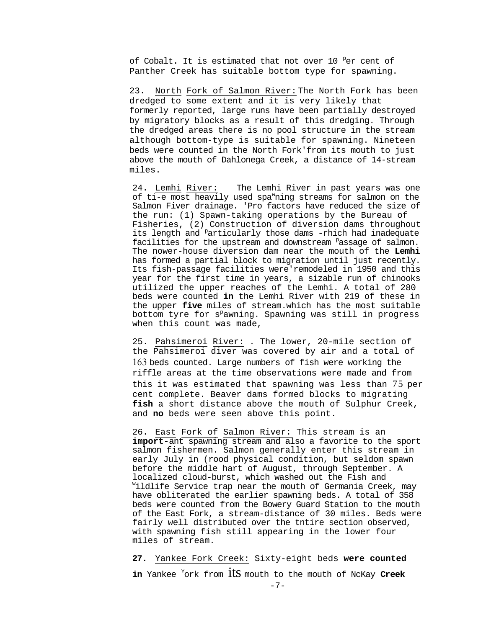of Cobalt. It is estimated that not over 10 Per cent of Panther Creek has suitable bottom type for spawning.

23. North Fork of Salmon River: The North Fork has been dredged to some extent and it is very likely that formerly reported, large runs have been partially destroyed by migratory blocks as a result of this dredging. Through the dredged areas there is no pool structure in the stream although bottom-type is suitable for spawning. Nineteen beds were counted in the North Fork'from its mouth to just above the mouth of Dahlonega Creek, a distance of 14-stream miles.

24. Lemhi River: The Lemhi River in past years was one of ti-e most heavily used spa<sup>w</sup>ning streams for salmon on the Salmon Fiver drainage. 'Pro factors have reduced the size of the run: (1) Spawn-taking operations by the Bureau of Fisheries, (2) Construction of diversion dams throughout its length and <sup>p</sup>articularly those dams -rhich had inadequate facilities for the upstream and downstream <sup>p</sup>assage of salmon. The nower-house diversion dam near the mouth of the **Lemhi**  has formed a partial block to migration until just recently. Its fish-passage facilities were'remodeled in 1950 and this year for the first time in years, a sizable run of chinooks utilized the upper reaches of the Lemhi. A total of 280 beds were counted **in** the Lemhi River with 219 of these in the upper **five** miles of stream.which has the most suitable bottom tyre for s<sup>p</sup>awning. Spawning was still in progress when this count was made,

25. Pahsimeroi River: . The lower, 20-mile section of the Pahsimeroi diver was covered by air and a total of 163 beds counted. Large numbers of fish were working the riffle areas at the time observations were made and from this it was estimated that spawning was less than 75 per cent complete. Beaver dams formed blocks to migrating **fish** a short distance above the mouth of Sulphur Creek, and **no** beds were seen above this point.

26. East Fork of Salmon River: This stream is an **import-**ant spawning stream and also a favorite to the sport salmon fishermen. Salmon generally enter this stream in early July in (rood physical condition, but seldom spawn before the middle hart of August, through September. A localized cloud-burst, which washed out the Fish and ildlife Service trap near the mouth of Germania Creek, may have obliterated the earlier spawning beds. A total of 358 beds were counted from the Bowery Guard Station to the mouth of the East Fork, a stream-distance of 30 miles. Beds were fairly well distributed over the tntire section observed, with spawning fish still appearing in the lower four miles of stream.

# **27.** Yankee Fork Creek: Sixty-eight beds **were counted**

**in** Yankee <sup>Y</sup> ork from its mouth to the mouth of NcKay **Creek**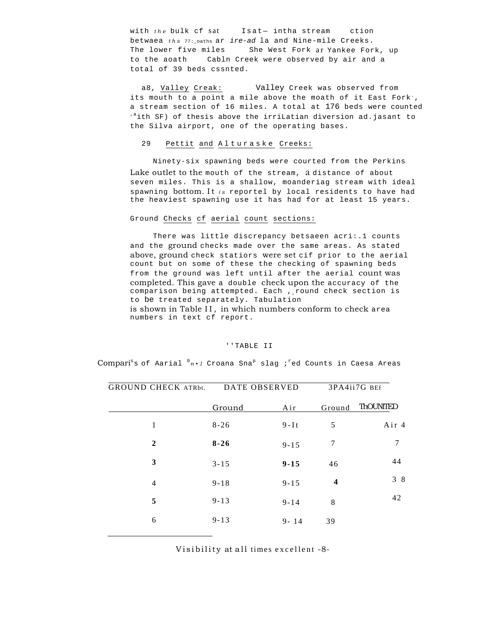with *the* bulk cf sat Isat— intha stream ction betwaea *ths* 77:\_oaths ar *ire-ad* la and Nine-mile Creeks. The lower five miles She West Fork ar Yankee Fork, up to the aoath Cabln Creek were observed by air and a total of 39 beds cssnted.

a8, Valley Creak: Valley Creek was observed from its mouth to a point a mile above the moath of it East Fork., a stream section of 16 miles. A total at 176 beds were counted  $\frac{1}{10}$  and  $\frac{1}{10}$  of thesis above the irriLatian diversion ad.jasant to the Silva airport, one of the operating bases.

## 29 Pettit and Alturaske Creeks:

Ninety-six spawning beds were courted from the Perkins Lake outlet to the mouth of the stream, a distance of about seven miles. This is a shallow, moanderiag stream with ideal spawning bottom. It *is* reportel by local residents to have had the heaviest spawning use it has had for at least 15 years.

#### Ground Checks cf aerial count sections:

There was little discrepancy betsaeen acri:.1 counts and the ground checks made over the same areas. As stated above, ground check statiors were set cif prior to the aerial count but on some of these the checking of spawning beds from the ground was left until after the aerial count was completed. This gave a double check upon the accuracy of the comparison being attempted. Each , round check section is to be treated separately. Tabulation

is shown in Table II, in which numbers conform to check area numbers in text cf report.

## ''TABLE II

Compari<sup>s</sup>s of Aarial <sup>0</sup>n•1 Croana Sna<sup>p</sup> slag ;<sup>r</sup>ed Counts in Caesa Areas

| <b>GROUND CHECK ATRbt.</b> |          | DATE OBSERVED | 3PA4ii7G BEf            |          |  |
|----------------------------|----------|---------------|-------------------------|----------|--|
|                            | Ground   | Air           | Ground                  | ThOUNTED |  |
| 1                          | $8 - 26$ | $9-It$        | 5                       | Air 4    |  |
| $\overline{2}$             | $8 - 26$ | $9 - 15$      | 7                       | 7        |  |
| 3                          | $3 - 15$ | $9 - 15$      | 46                      | 44       |  |
| 4                          | $9 - 18$ | $9 - 15$      | $\overline{\mathbf{4}}$ | 38       |  |
| 5                          | $9 - 13$ | $9 - 14$      | 8                       | 42       |  |
| 6                          | $9 - 13$ | $9 - 14$      | 39                      |          |  |

Visibility at all times excellent -8-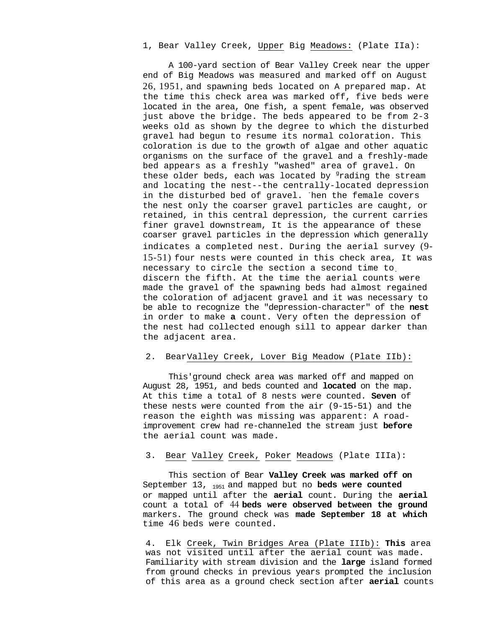# 1, Bear Valley Creek, Upper Big Meadows: (Plate IIa):

A 100-yard section of Bear Valley Creek near the upper end of Big Meadows was measured and marked off on August 26, 1951, and spawning beds located on A prepared map. At the time this check area was marked off, five beds were located in the area, One fish, a spent female, was observed just above the bridge. The beds appeared to be from 2-3 weeks old as shown by the degree to which the disturbed gravel had begun to resume its normal coloration. This coloration is due to the growth of algae and other aquatic organisms on the surface of the gravel and a freshly-made bed appears as a freshly "washed" area of gravel. On these older beds, each was located by <sup>g</sup>rading the stream and locating the nest--the centrally-located depression in the disturbed bed of gravel. Then the female covers the nest only the coarser gravel particles are caught, or retained, in this central depression, the current carries finer gravel downstream, It is the appearance of these coarser gravel particles in the depression which generally indicates a completed nest. During the aerial survey (9- 15-51) four nests were counted in this check area, It was necessary to circle the section a second time to. discern the fifth. At the time the aerial counts were made the gravel of the spawning beds had almost regained the coloration of adjacent gravel and it was necessary to be able to recognize the "depression-character" of the **nest**  in order to make **a** count. Very often the depression of the nest had collected enough sill to appear darker than the adjacent area.

# 2. BearValley Creek, Lover Big Meadow (Plate IIb):

This'ground check area was marked off and mapped on August 28, 1951, and beds counted and **located** on the map. At this time a total of 8 nests were counted. **Seven** of these nests were counted from the air (9-15-51) and the reason the eighth was missing was apparent: A roadimprovement crew had re-channeled the stream just **before**  the aerial count was made.

# 3. Bear Valley Creek, Poker Meadows (Plate IIIa):

This section of Bear **Valley Creek was marked off on**  September 13, 1951 and mapped but no **beds were counted**  or mapped until after the **aerial** count. During the **aerial**  count a total of 44 **beds were observed between the ground**  markers. The ground check was **made September 18 at which**  time 46 beds were counted.

4. Elk Creek, Twin Bridges Area (Plate IIIb): **This** area was not visited until after the aerial count was made. Familiarity with stream division and the **large** island formed from ground checks in previous years prompted the inclusion of this area as a ground check section after **aerial** counts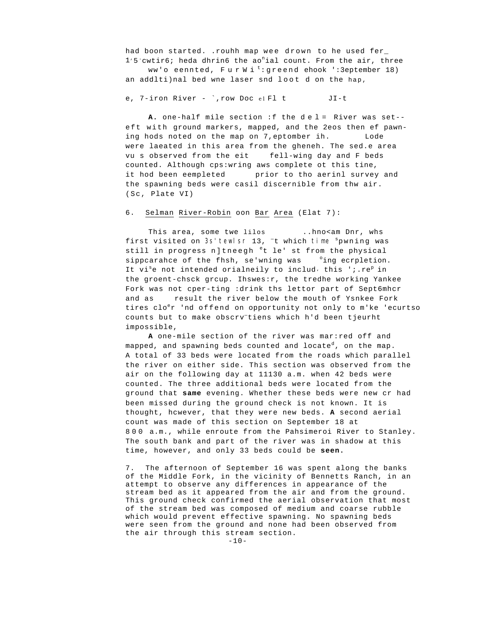had boon started. . rouhh map wee drown to he used fer\_ 1'5 cwtir6; heda dhrin6 the ao<sup>n</sup>ial count. From the air, three

ww'o eennted, FurWi<sup>t</sup>:greend ehook ':3eptember 18) an addlti)nal bed wne laser snd loot d on the hap,

#### e, 7-iron River -  $\dot{ }$ , row Doc el Fl t  $JI-t$

A. one-half mile section : f the del = River was set-eft with ground markers, mapped, and the 2eos then ef pawning hods noted on the map on 7, eptomber ih. Lode were laeated in this area from the gheneh. The sed.e area vu s observed from the eit fell-wing day and F beds counted. Although cps: wring aws complete ot this tine, it hod been eempleted prior to tho aerinl survey and the spawning beds were casil discernible from thw air. (Sc, Plate VI)

#### 6. Selman River-Robin oon Bar Area (Elat 7):

This area, some twe lilos ..hno<am Dnr, whs first visited on 3s' tewlsr 13, <sup>-</sup>t which time <sup>s</sup>pwning was still in progress n]tneegh <sup>e</sup>t le' st from the physical sippcarahce of the fhsh, se'wning was cing ecrpletion. It vi<sup>s</sup>e not intended orialneily to includ, this '; .re<sup>p</sup> in the groent-chsck grcup. Ihswes: r, the tredhe working Yankee Fork was not cper-ting : drink ths lettor part of Sept6mhcr and as result the river below the mouth of Ysnkee Fork tires clo<sup>e</sup>r 'nd offend on opportunity not only to m'ke 'ecurtso counts but to make obscrv tiens which h'd been tjeurht impossible,

A one-mile section of the river was mar: red off and mapped, and spawning beds counted and locate<sup>d</sup>, on the map. A total of 33 beds were located from the roads which parallel the river on either side. This section was observed from the air on the following day at 11130 a.m. when 42 beds were counted. The three additional beds were located from the ground that same evening. Whether these beds were new cr had been missed during the ground check is not known. It is thought, however, that they were new beds. A second aerial count was made of this section on September 18 at 800 a.m., while enroute from the Pahsimeroi River to Stanley. The south bank and part of the river was in shadow at this time, however, and only 33 beds could be seen.

7. The afternoon of September 16 was spent along the banks of the Middle Fork, in the vicinity of Bennetts Ranch, in an attempt to observe any differences in appearance of the stream bed as it appeared from the air and from the ground. This ground check confirmed the aerial observation that most of the stream bed was composed of medium and coarse rubble which would prevent effective spawning. No spawning beds were seen from the ground and none had been observed from the air through this stream section.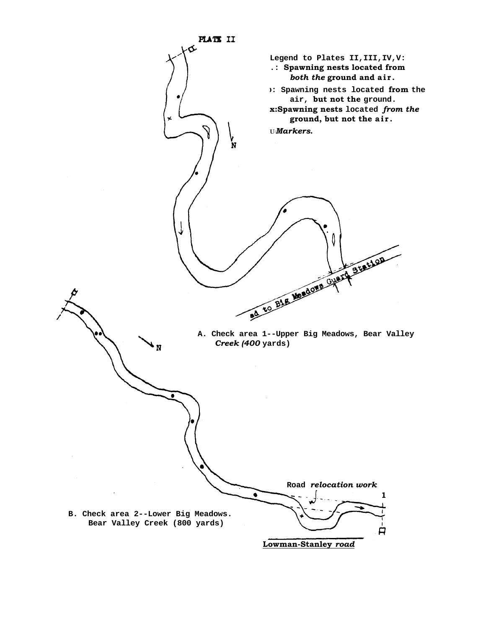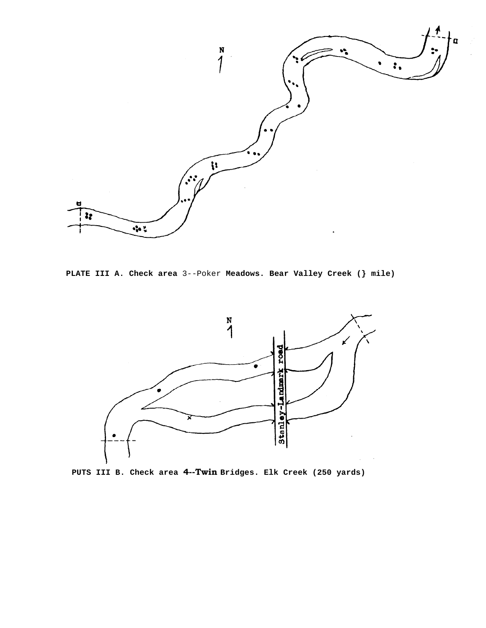

**PLATE III A. Check area** 3--Poker **Meadows. Bear Valley Creek (} mile)** 



**PUTS III B. Check area 4--Twin Bridges. Elk Creek (250 yards)**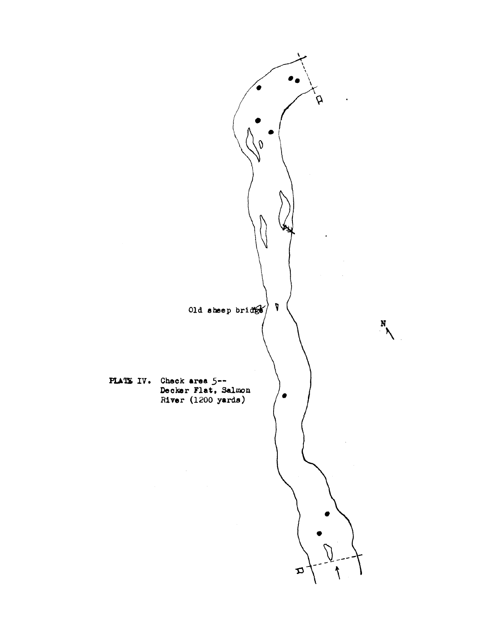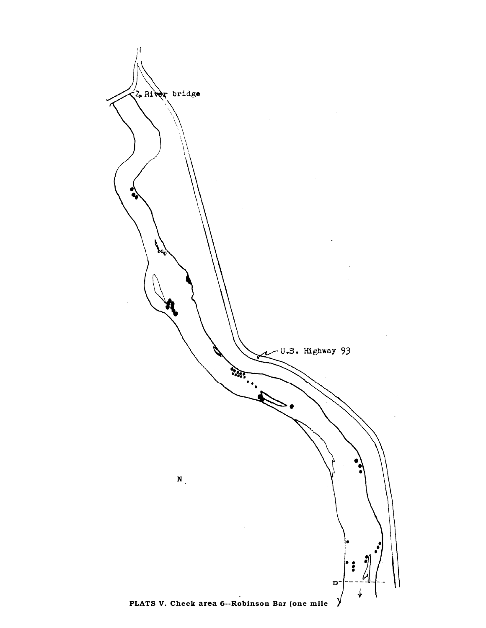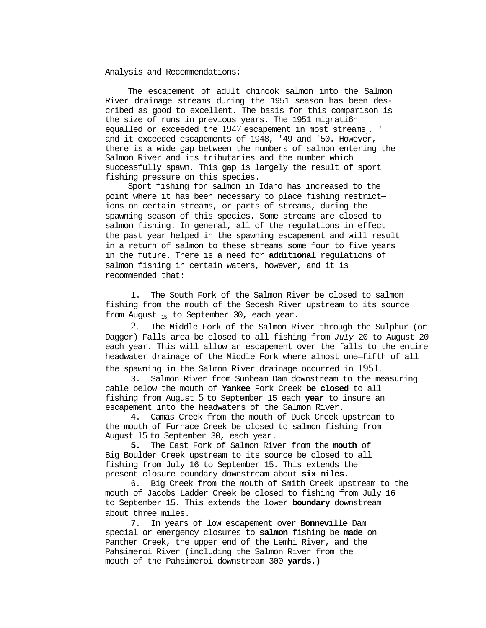Analysis and Recommendations:

The escapement of adult chinook salmon into the Salmon River drainage streams during the 1951 season has been described as good to excellent. The basis for this comparison is the size of runs in previous years. The 1951 migrati6n equalled or exceeded the 1947 escapement in most streams,, ' and it exceeded escapements of 1948, '49 and '50. However, there is a wide gap between the numbers of salmon entering the Salmon River and its tributaries and the number which successfully spawn. This gap is largely the result of sport fishing pressure on this species.

Sport fishing for salmon in Idaho has increased to the point where it has been necessary to place fishing restrict ions on certain streams, or parts of streams, during the spawning season of this species. Some streams are closed to salmon fishing. In general, all of the regulations in effect the past year helped in the spawning escapement and will result in a return of salmon to these streams some four to five years in the future. There is a need for **additional** regulations of salmon fishing in certain waters, however, and it is recommended that:

1. The South Fork of the Salmon River be closed to salmon fishing from the mouth of the Secesh River upstream to its source from August  $_{15}$ , to September 30, each year.

2. The Middle Fork of the Salmon River through the Sulphur (or Dagger) Falls area be closed to all fishing from *July* 20 to August 20 each year. This will allow an escapement over the falls to the entire headwater drainage of the Middle Fork where almost one—fifth of all

the spawning in the Salmon River drainage occurred in 1951.

3. Salmon River from Sunbeam Dam downstream to the measuring cable below the mouth of **Yankee** Fork Creek **be closed** to all fishing from August 5 to September 15 each **year** to insure an escapement into the headwaters of the Salmon River.

4. Camas Creek from the mouth of Duck Creek upstream to the mouth of Furnace Creek be closed to salmon fishing from August 15 to September 30, each year.

**5.** The East Fork of Salmon River from the **mouth** of Big Boulder Creek upstream to its source be closed to all fishing from July 16 to September 15. This extends the present closure boundary downstream about **six miles.** 

6. Big Creek from the mouth of Smith Creek upstream to the mouth of Jacobs Ladder Creek be closed to fishing from July 16 to September 15. This extends the lower **boundary** downstream about three miles.

7. In years of low escapement over **Bonneville** Dam special or emergency closures to **salmon** fishing be **made** on Panther Creek, the upper end of the Lemhi River, and the Pahsimeroi River (including the Salmon River from the mouth of the Pahsimeroi downstream 300 **yards.)**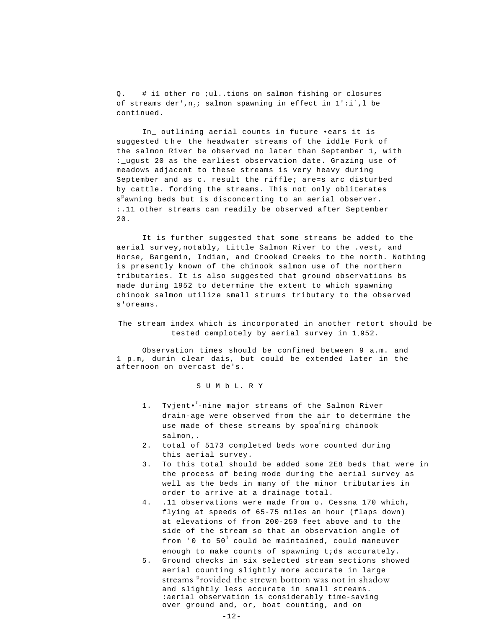Q. # i1 other ro ;ul..tions on salmon fishing or closures of streams der',  $n_i$ ; salmon spawning in effect in  $1'$ : i', l be continued.

In\_ outlining aerial counts in future •ears it is suggested the the headwater streams of the iddle Fork of the salmon River be observed no later than September 1, with :\_ugust 20 as the earliest observation date. Grazing use of meadows adjacent to these streams is very heavy during September and as c. result the riffle; are=s arc disturbed by cattle. fording the streams. This not only obliterates s<sup>p</sup>awning beds but is disconcerting to an aerial observer. :.11 other streams can readily be observed after September  $20.$ 

It is further suggested that some streams be added to the aerial survey,notably, Little Salmon River to the .vest, and Horse, Bargemin, Indian, and Crooked Creeks to the north. Nothing is presently known of the chinook salmon use of the northern tributaries. It is also suggested that ground observations bs made during 1952 to determine the extent to which spawning chinook salmon utilize small strums tributary to the observed s'oreams.

The stream index which is incorporated in another retort should be tested cemplotely by aerial survey in 1952.

Observation times should be confined between 9 a.m. and 1 p.m, durin clear dais, but could be extended later in the afternoon on overcast de's.

S U M b L. R Y

- 1. Tvjent•<sup>r</sup>-nine major streams of the Salmon River drain-age were observed from the air to determine the use made of these streams by spoa<sup>f</sup>nirg chinook salmon,.
- 2. total of 5173 completed beds wore counted during this aerial survey.
- 3. To this total should be added some 2E8 beds that were in the process of being mode during the aerial survey as well as the beds in many of the minor tributaries in order to arrive at a drainage total.
- 4. .11 observations were made from o. Cessna 170 which, flying at speeds of 65-75 miles an hour (flaps down) at elevations of from 200-250 feet above and to the side of the stream so that an observation angle of from '0 to  $50^0$  could be maintained, could maneuver enough to make counts of spawning t;ds accurately.
- 5. Ground checks in six selected stream sections showed aerial counting slightly more accurate in large streams <sup>p</sup>rovided the strewn bottom was not in shadow and slightly less accurate in small streams. :aerial observation is considerably time-saving over ground and, or, boat counting, and on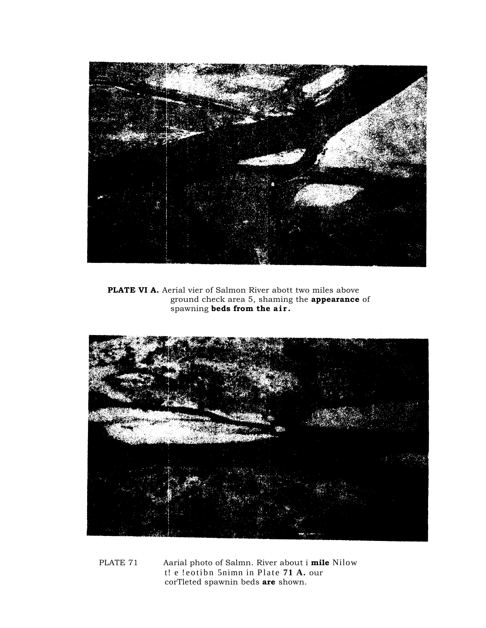

PLATE VI A. Aerial vier of Salmon River abott two miles above ground check area 5, shaming the **appearance** of spawning beds from the air.

![](_page_20_Picture_2.jpeg)

PLATE 71 Aarial photo of Salmn. River about i mile Nilow t! e !eotibn 5nimn in Plate 71 A. our corTleted spawnin beds are shown.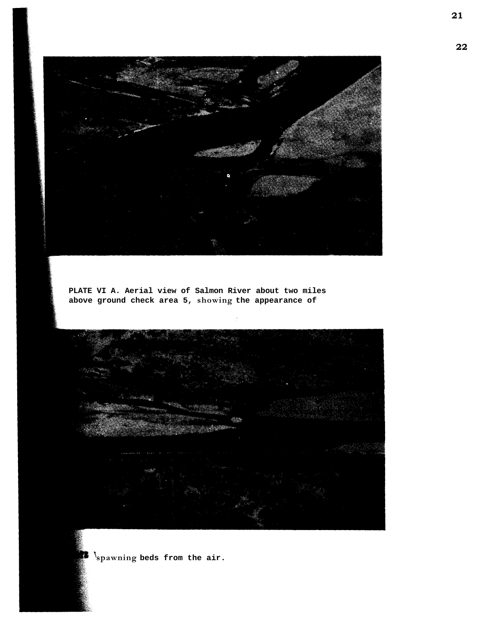![](_page_21_Picture_0.jpeg)

**PLATE VI A. Aerial view of Salmon River about two miles above ground check area 5, showing the appearance of** 

![](_page_21_Picture_2.jpeg)

**spawning beds from the air.** 

**22**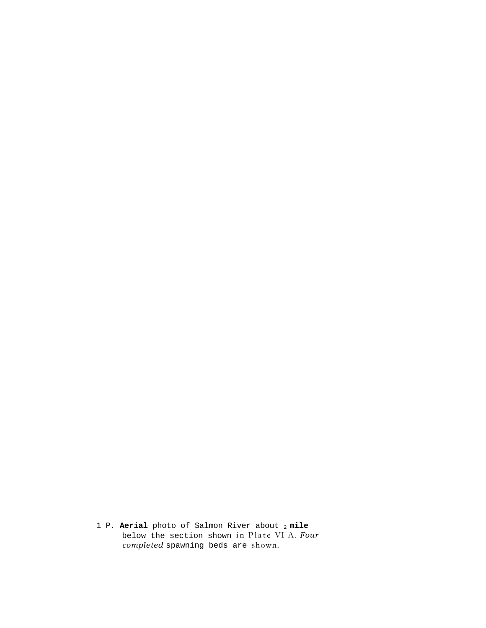1 P. **Aerial** photo of Salmon River about 2 **mile**  below the section shown in Plate VI A. *Four completed* spawning beds are shown.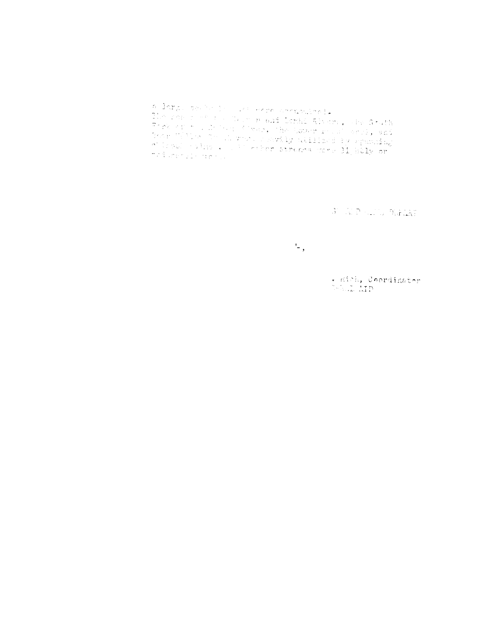s larg, sever in the west corresponded.<br>The reason of the Union real Derif Sixter, whe South The read Derif Sixter, whe South - 16 million - 16 million - 16 million - 16 million<br>Bear Willion Complete Deavily Willions by Spacetag<br>Alliosol - 14 million - 16 million - 11 milly or itat werde Arely

A KRALL WHEN

 $\mathcal{L}$ ,

. Kich, Coordinater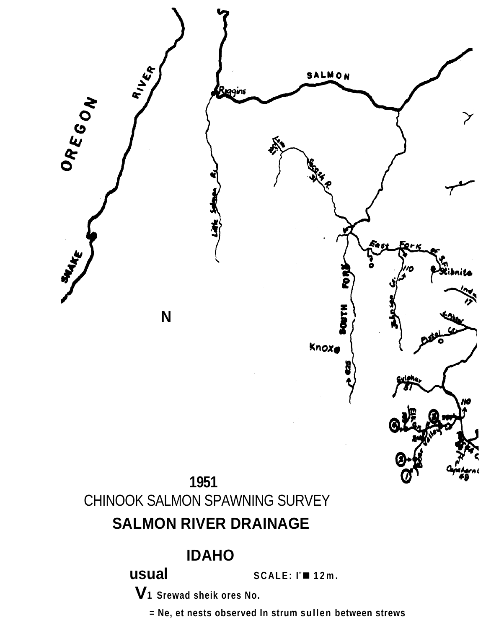![](_page_24_Figure_0.jpeg)

# **IDAHO**

SCALE: I™ 12m.

V<sub>1</sub> Srewad sheik ores No.

usual

= Ne, et nests observed In strum sullen between strews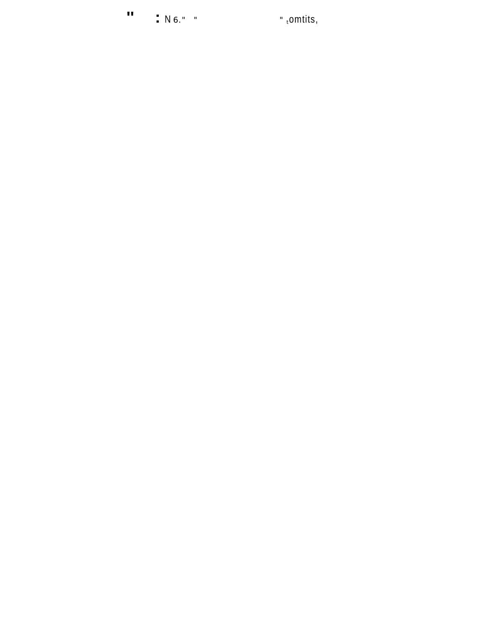$\mathbf{u}$  $\bullet$  N 6." "  $\bullet$  "  $\bullet$  "  $\bullet$  "  $\bullet$  "  $\bullet$  "  $\bullet$  "  $\bullet$  "  $\bullet$  "  $\bullet$  "  $\bullet$  "  $\bullet$  "  $\bullet$  "  $\bullet$  "  $\bullet$  "  $\bullet$  "  $\bullet$  "  $\bullet$  "  $\bullet$  "  $\bullet$  "  $\bullet$  "  $\bullet$  "  $\bullet$  "  $\bullet$  "  $\bullet$  "  $\bullet$  "  $\bullet$  "  $\bullet$  "  $\bullet$  "  $\bullet$  "  $\bullet$